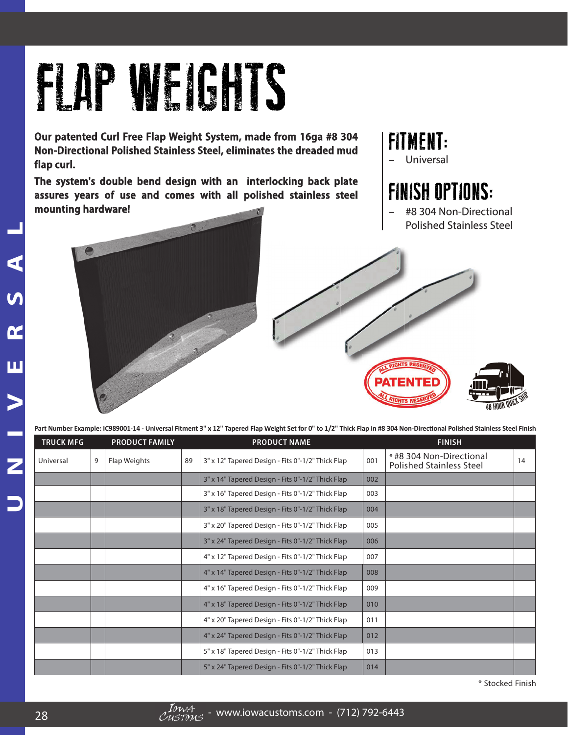## FLAP WEIGHTS

**Our patented Curl Free Flap Weight System, made from 16ga #8 304 Non-Directional Polished Stainless Steel, eliminates the dreaded mud** flap curl.

The system's double bend design with an interlocking back plate assures years of use and comes with all polished stainless steel **mounting hardware!** 

## FITMENT:

– Universal niversal

## **FINISH OPTIONS:**



– #8 304 Non-Directional Polished Stainless Steel



Part Number Example: IC989001-14 - Universal Fitment 3" x 12" Tapered Flap Weight Set for 0" to 1/2" Thick Flap in #8 304 Non-Directional Polished Stainless Steel Finish

| <b>TRUCK MFG</b> |   | <b>PRODUCT FAMILY</b> |    | <b>PRODUCT NAME</b>                               |     | <b>FINISH</b>                                               |    |
|------------------|---|-----------------------|----|---------------------------------------------------|-----|-------------------------------------------------------------|----|
| Universal        | 9 | Flap Weights          | 89 | 3" x 12" Tapered Design - Fits 0"-1/2" Thick Flap | 001 | * #8 304 Non-Directional<br><b>Polished Stainless Steel</b> | 14 |
|                  |   |                       |    | 3" x 14" Tapered Design - Fits 0"-1/2" Thick Flap | 002 |                                                             |    |
|                  |   |                       |    | 3" x 16" Tapered Design - Fits 0"-1/2" Thick Flap | 003 |                                                             |    |
|                  |   |                       |    | 3" x 18" Tapered Design - Fits 0"-1/2" Thick Flap | 004 |                                                             |    |
|                  |   |                       |    | 3" x 20" Tapered Design - Fits 0"-1/2" Thick Flap | 005 |                                                             |    |
|                  |   |                       |    | 3" x 24" Tapered Design - Fits 0"-1/2" Thick Flap | 006 |                                                             |    |
|                  |   |                       |    | 4" x 12" Tapered Design - Fits 0"-1/2" Thick Flap | 007 |                                                             |    |
|                  |   |                       |    | 4" x 14" Tapered Design - Fits 0"-1/2" Thick Flap | 008 |                                                             |    |
|                  |   |                       |    | 4" x 16" Tapered Design - Fits 0"-1/2" Thick Flap | 009 |                                                             |    |
|                  |   |                       |    | 4" x 18" Tapered Design - Fits 0"-1/2" Thick Flap | 010 |                                                             |    |
|                  |   |                       |    | 4" x 20" Tapered Design - Fits 0"-1/2" Thick Flap | 011 |                                                             |    |
|                  |   |                       |    | 4" x 24" Tapered Design - Fits 0"-1/2" Thick Flap | 012 |                                                             |    |
|                  |   |                       |    | 5" x 18" Tapered Design - Fits 0"-1/2" Thick Flap | 013 |                                                             |    |
|                  |   |                       |    | 5" x 24" Tapered Design - Fits 0"-1/2" Thick Flap | 014 |                                                             |    |

\* Stocked Finish